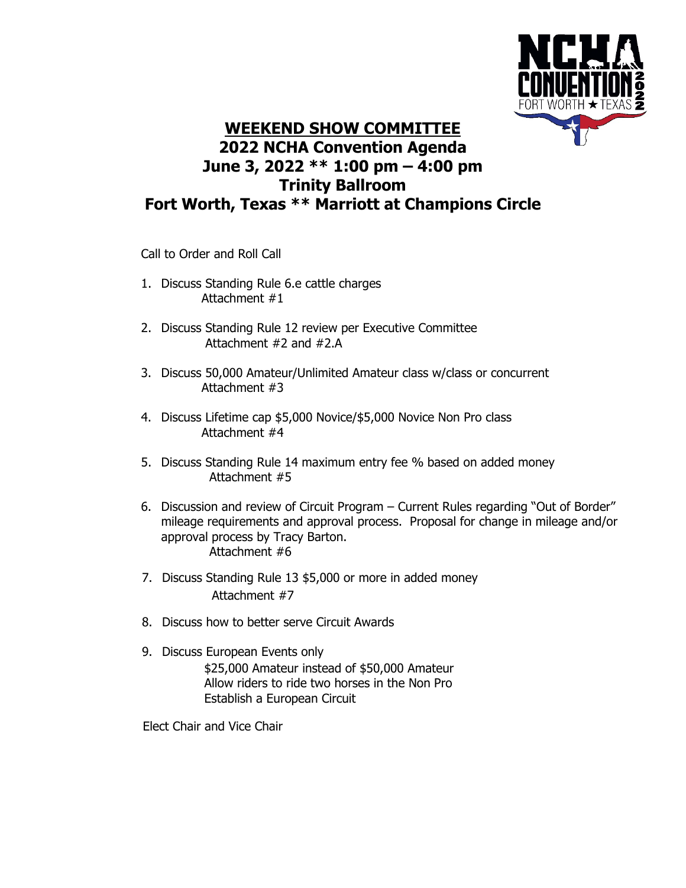

## **WEEKEND SHOW COMMITTEE 2022 NCHA Convention Agenda June 3, 2022 \*\* 1:00 pm – 4:00 pm Trinity Ballroom Fort Worth, Texas \*\* Marriott at Champions Circle**

Call to Order and Roll Call

- 1. Discuss Standing Rule 6.e cattle charges Attachment #1
- 2. Discuss Standing Rule 12 review per Executive Committee Attachment #2 and #2.A
- 3. Discuss 50,000 Amateur/Unlimited Amateur class w/class or concurrent Attachment #3
- 4. Discuss Lifetime cap \$5,000 Novice/\$5,000 Novice Non Pro class Attachment #4
- 5. Discuss Standing Rule 14 maximum entry fee % based on added money Attachment #5
- 6. Discussion and review of Circuit Program Current Rules regarding "Out of Border" mileage requirements and approval process. Proposal for change in mileage and/or approval process by Tracy Barton. Attachment #6
- 7. Discuss Standing Rule 13 \$5,000 or more in added money Attachment #7
- 8. Discuss how to better serve Circuit Awards
- 9. Discuss European Events only \$25,000 Amateur instead of \$50,000 Amateur Allow riders to ride two horses in the Non Pro Establish a European Circuit

Elect Chair and Vice Chair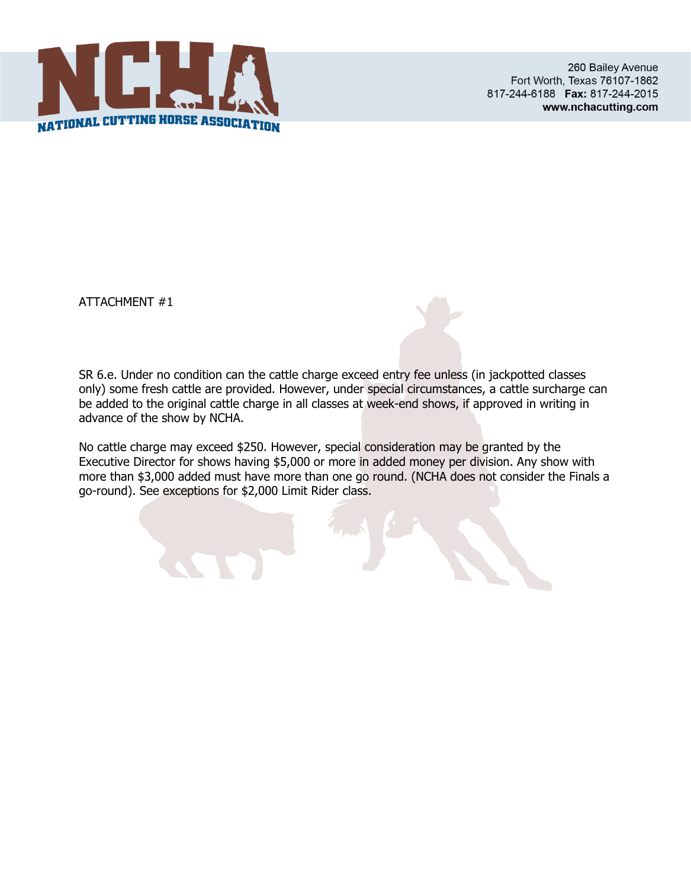

SR 6.e. Under no condition can the cattle charge exceed entry fee unless (in jackpotted classes only) some fresh cattle are provided. However, under special circumstances, a cattle surcharge can be added to the original cattle charge in all classes at week-end shows, if approved in writing in advance of the show by NCHA.

No cattle charge may exceed \$250. However, special consideration may be granted by the Executive Director for shows having \$5,000 or more in added money per division. Any show with more than \$3,000 added must have more than one go round. (NCHA does not consider the Finals a go-round). See exceptions for \$2,000 Limit Rider class.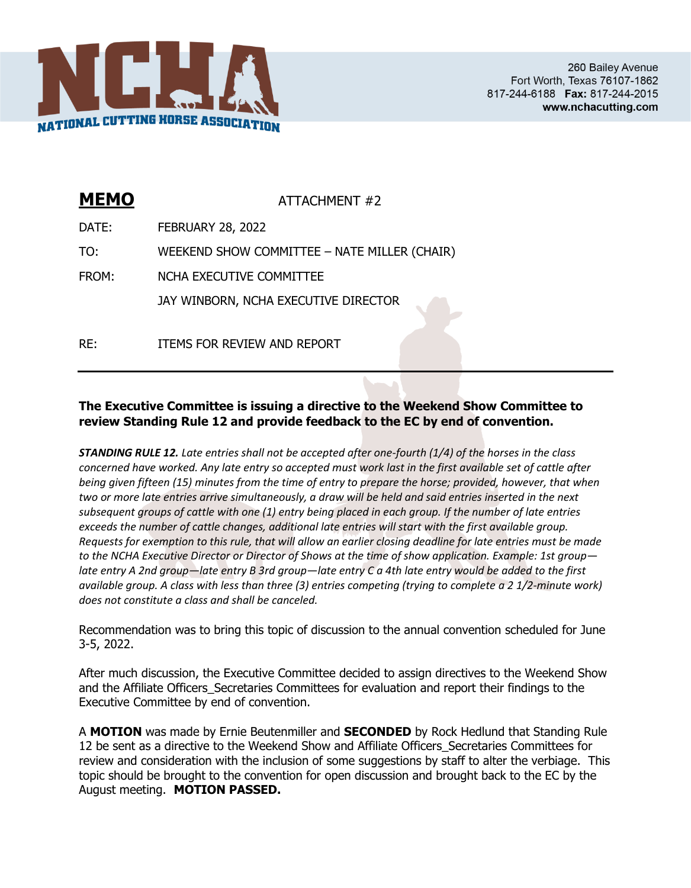

| <b>MEMO</b> | ATTACHMENT #2                                |
|-------------|----------------------------------------------|
| DATE:       | <b>FEBRUARY 28, 2022</b>                     |
| TO:         | WEEKEND SHOW COMMITTEE - NATE MILLER (CHAIR) |
| FROM:       | NCHA EXECUTIVE COMMITTEE                     |
|             | JAY WINBORN, NCHA EXECUTIVE DIRECTOR         |
| RF:         | ITEMS FOR REVIEW AND REPORT                  |

#### **The Executive Committee is issuing a directive to the Weekend Show Committee to review Standing Rule 12 and provide feedback to the EC by end of convention.**

*STANDING RULE 12. Late entries shall not be accepted after one-fourth (1/4) of the horses in the class concerned have worked. Any late entry so accepted must work last in the first available set of cattle after being given fifteen (15) minutes from the time of entry to prepare the horse; provided, however, that when two or more late entries arrive simultaneously, a draw will be held and said entries inserted in the next subsequent groups of cattle with one (1) entry being placed in each group. If the number of late entries exceeds the number of cattle changes, additional late entries will start with the first available group. Requests for exemption to this rule, that will allow an earlier closing deadline for late entries must be made to the NCHA Executive Director or Director of Shows at the time of show application. Example: 1st group late entry A 2nd group—late entry B 3rd group—late entry C a 4th late entry would be added to the first available group. A class with less than three (3) entries competing (trying to complete a 2 1/2-minute work) does not constitute a class and shall be canceled.*

Recommendation was to bring this topic of discussion to the annual convention scheduled for June 3-5, 2022.

After much discussion, the Executive Committee decided to assign directives to the Weekend Show and the Affiliate Officers\_Secretaries Committees for evaluation and report their findings to the Executive Committee by end of convention.

A **MOTION** was made by Ernie Beutenmiller and **SECONDED** by Rock Hedlund that Standing Rule 12 be sent as a directive to the Weekend Show and Affiliate Officers\_Secretaries Committees for review and consideration with the inclusion of some suggestions by staff to alter the verbiage. This topic should be brought to the convention for open discussion and brought back to the EC by the August meeting. **MOTION PASSED.**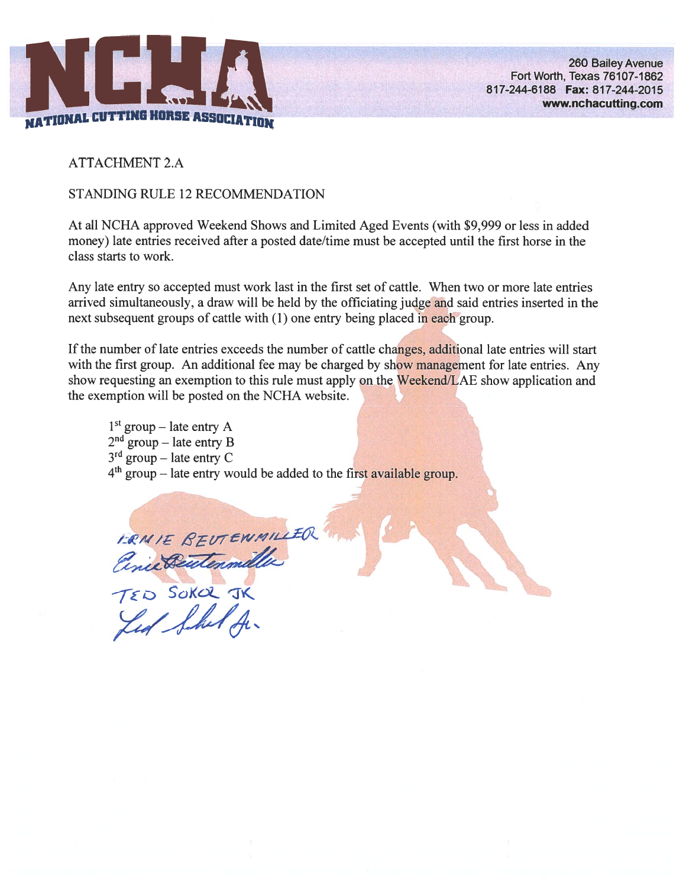

**ATTACHMENT 2.A** 

#### STANDING RULE 12 RECOMMENDATION

At all NCHA approved Weekend Shows and Limited Aged Events (with \$9,999 or less in added money) late entries received after a posted date/time must be accepted until the first horse in the class starts to work.

Any late entry so accepted must work last in the first set of cattle. When two or more late entries arrived simultaneously, a draw will be held by the officiating judge and said entries inserted in the next subsequent groups of cattle with (1) one entry being placed in each group.

If the number of late entries exceeds the number of cattle changes, additional late entries will start with the first group. An additional fee may be charged by show management for late entries. Any show requesting an exemption to this rule must apply on the Weekend/LAE show application and the exemption will be posted on the NCHA website.

 $1<sup>st</sup>$  group – late entry A  $2<sup>nd</sup> group – late entry B$ <br> $3<sup>rd</sup> group – late entry C$ 4<sup>th</sup> group – late entry would be added to the first available group.

FRAIE BEUTENMILLER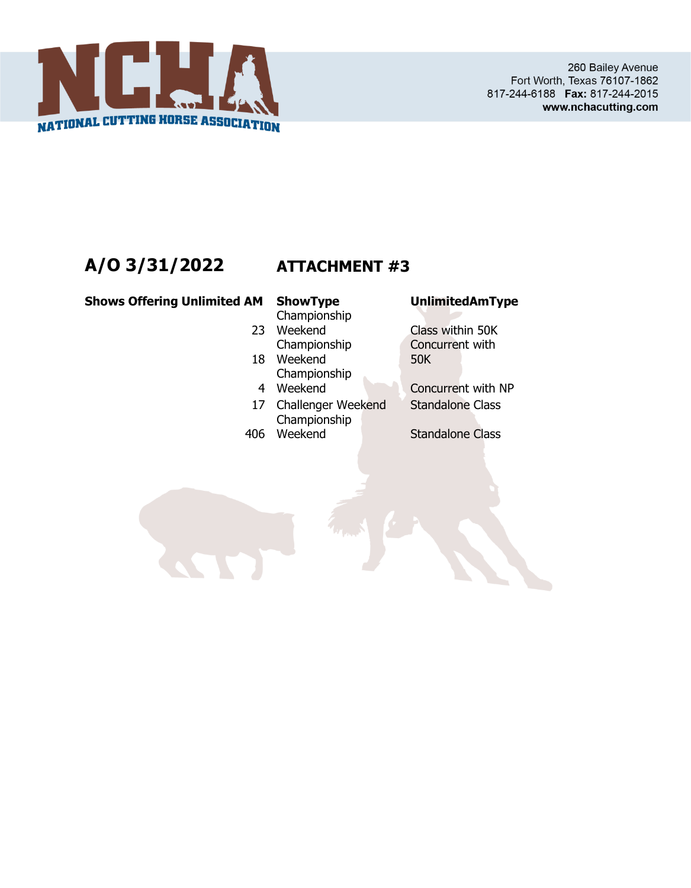

# **A/O 3/31/2022 ATTACHMENT #3**

**Shows Offering Unlimited AM ShowType UnlimitedAmType**

- 
- Championship
- 23 Weekend Championship
- 18 Weekend Championship
- 4 Weekend
- 17 Challenger Weekend Standalone Class 406 Weekend Championship
- 

Class within 50K Concurrent with 50K

Concurrent with NP

Standalone Class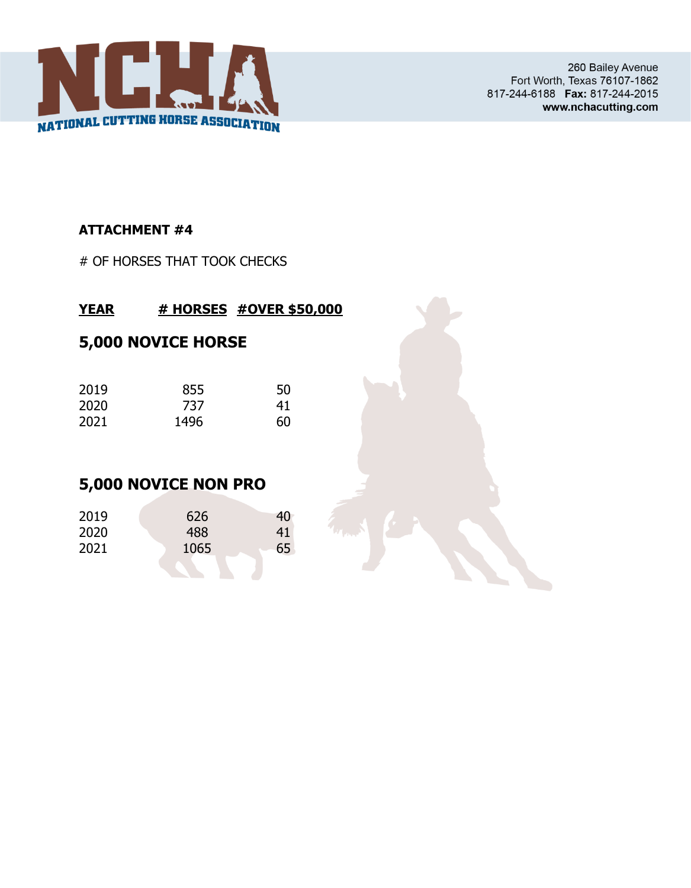

260 Bailey Avenue Fort Worth, Texas 76107-1862 817-244-6188 Fax: 817-244-2015 www.nchacutting.com

## **ATTACHMENT #4**

# OF HORSES THAT TOOK CHECKS

## **YEAR # HORSES #OVER \$50,000**

# **5,000 NOVICE HORSE**

| 2019 | 855  | 50 |
|------|------|----|
| 2020 | 737  | 41 |
| 2021 | 1496 | 60 |

# **5,000 NOVICE NON PRO**

| 2019 | 626  | 40 |
|------|------|----|
| 2020 | 488  | 41 |
| 2021 | 1065 | 65 |
|      |      |    |

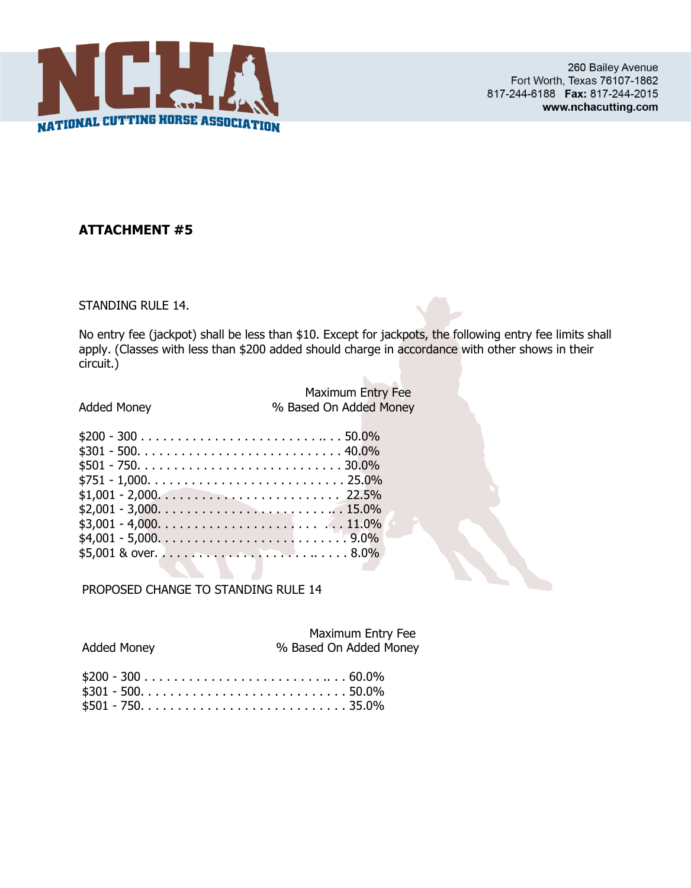

STANDING RULE 14.

No entry fee (jackpot) shall be less than \$10. Except for jackpots, the following entry fee limits shall apply. (Classes with less than \$200 added should charge in accordance with other shows in their circuit.)

|                            | <b>Maximum Entry Fee</b> |
|----------------------------|--------------------------|
| <b>Added Money</b>         | % Based On Added Money   |
|                            |                          |
| $$200 - 300         50.0%$ |                          |
|                            |                          |
| $$501 - 750. 30.0\%$       |                          |
|                            |                          |
|                            |                          |
|                            |                          |
|                            |                          |
|                            |                          |
|                            |                          |
|                            |                          |

PROPOSED CHANGE TO STANDING RULE 14

|                    | Maximum Entry Fee      |
|--------------------|------------------------|
| <b>Added Money</b> | % Based On Added Money |
|                    |                        |

| $$200 - 300         60.0%$ |  |
|----------------------------|--|
| $$301 - 500. 50.0\%$       |  |
|                            |  |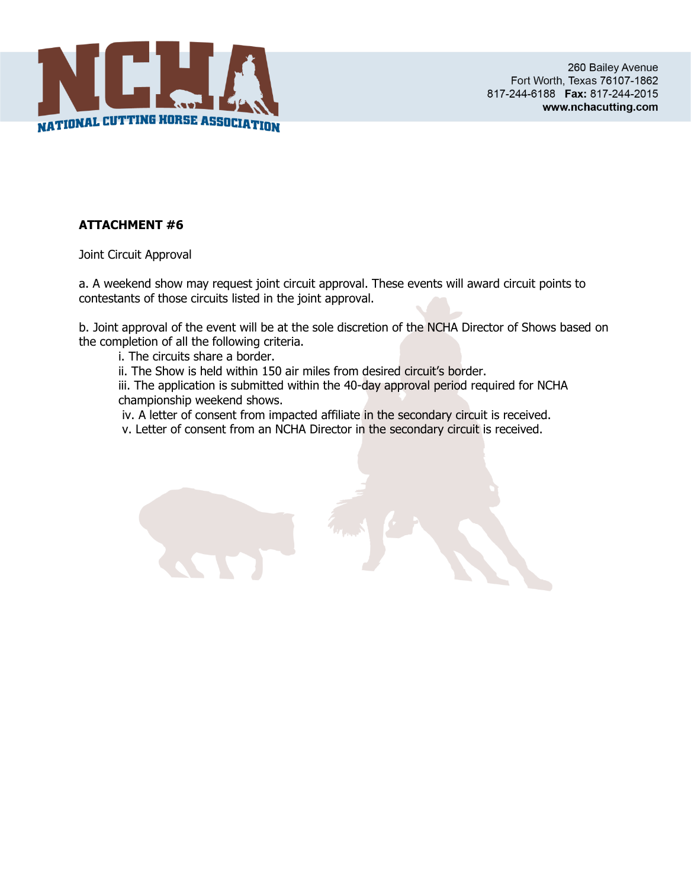

Joint Circuit Approval

a. A weekend show may request joint circuit approval. These events will award circuit points to contestants of those circuits listed in the joint approval.

b. Joint approval of the event will be at the sole discretion of the NCHA Director of Shows based on the completion of all the following criteria.

i. The circuits share a border.

ii. The Show is held within 150 air miles from desired circuit's border.

iii. The application is submitted within the 40-day approval period required for NCHA championship weekend shows.

iv. A letter of consent from impacted affiliate in the secondary circuit is received.

v. Letter of consent from an NCHA Director in the secondary circuit is received.